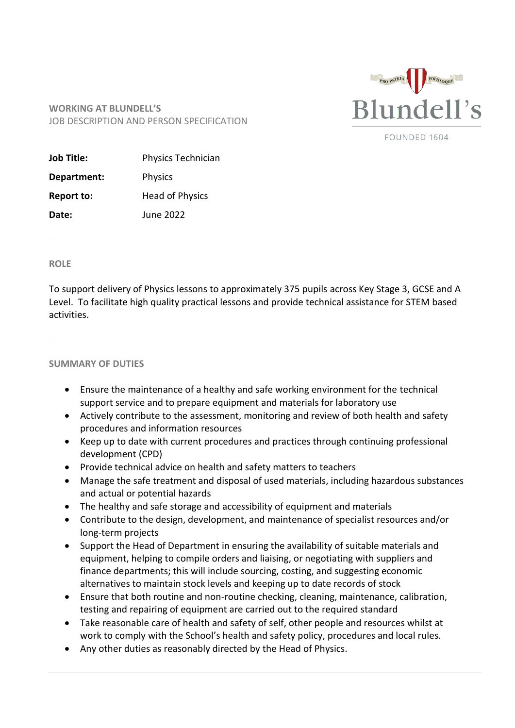

FOUNDED 1604

## **WORKING AT BLUNDELL'S** JOB DESCRIPTION AND PERSON SPECIFICATION

| <b>Job Title:</b> | <b>Physics Technician</b> |
|-------------------|---------------------------|
| Department:       | <b>Physics</b>            |
| <b>Report to:</b> | <b>Head of Physics</b>    |
| Date:             | June 2022                 |

## **ROLE**

To support delivery of Physics lessons to approximately 375 pupils across Key Stage 3, GCSE and A Level. To facilitate high quality practical lessons and provide technical assistance for STEM based activities.

## **SUMMARY OF DUTIES**

- Ensure the maintenance of a healthy and safe working environment for the technical support service and to prepare equipment and materials for laboratory use
- Actively contribute to the assessment, monitoring and review of both health and safety procedures and information resources
- Keep up to date with current procedures and practices through continuing professional development (CPD)
- Provide technical advice on health and safety matters to teachers
- Manage the safe treatment and disposal of used materials, including hazardous substances and actual or potential hazards
- The healthy and safe storage and accessibility of equipment and materials
- Contribute to the design, development, and maintenance of specialist resources and/or long-term projects
- Support the Head of Department in ensuring the availability of suitable materials and equipment, helping to compile orders and liaising, or negotiating with suppliers and finance departments; this will include sourcing, costing, and suggesting economic alternatives to maintain stock levels and keeping up to date records of stock
- Ensure that both routine and non-routine checking, cleaning, maintenance, calibration, testing and repairing of equipment are carried out to the required standard
- Take reasonable care of health and safety of self, other people and resources whilst at work to comply with the School's health and safety policy, procedures and local rules.
- Any other duties as reasonably directed by the Head of Physics.